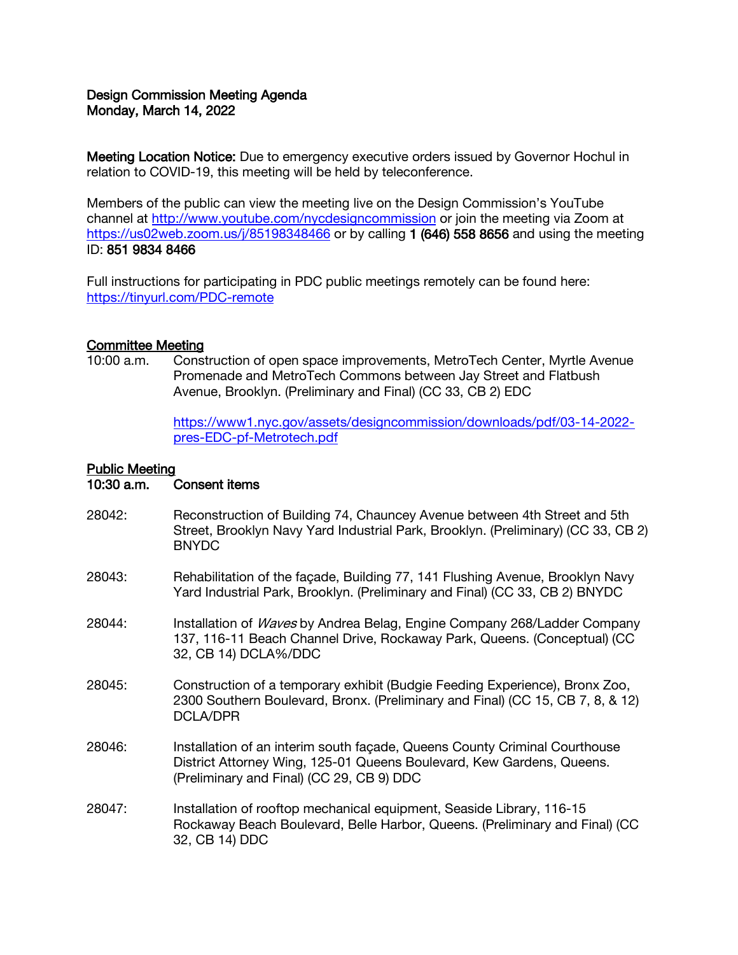# Design Commission Meeting Agenda Monday, March 14, 2022

Meeting Location Notice: Due to emergency executive orders issued by Governor Hochul in relation to COVID-19, this meeting will be held by teleconference.

Members of the public can view the meeting live on the Design Commission's YouTube channel at<http://www.youtube.com/nycdesigncommission> or join the meeting via Zoom at <https://us02web.zoom.us/j/85198348466> or by calling 1 (646) 558 8656 and using the meeting ID: 851 9834 8466

Full instructions for participating in PDC public meetings remotely can be found here: <https://tinyurl.com/PDC-remote>

### Committee Meeting

10:00 a.m. Construction of open space improvements, MetroTech Center, Myrtle Avenue Promenade and MetroTech Commons between Jay Street and Flatbush Avenue, Brooklyn. (Preliminary and Final) (CC 33, CB 2) EDC

> [https://www1.nyc.gov/assets/designcommission/downloads/pdf/03-14-2022](https://www1.nyc.gov/assets/designcommission/downloads/pdf/03-14-2022-pres-EDC-pf-Metrotech.pdf) [pres-EDC-pf-Metrotech.pdf](https://www1.nyc.gov/assets/designcommission/downloads/pdf/03-14-2022-pres-EDC-pf-Metrotech.pdf)

#### Public Meeting

10:30 a.m. Consent items

- 28042: Reconstruction of Building 74, Chauncey Avenue between 4th Street and 5th Street, Brooklyn Navy Yard Industrial Park, Brooklyn. (Preliminary) (CC 33, CB 2) BNYDC
- 28043: Rehabilitation of the façade, Building 77, 141 Flushing Avenue, Brooklyn Navy Yard Industrial Park, Brooklyn. (Preliminary and Final) (CC 33, CB 2) BNYDC
- 28044: Installation of *Waves* by Andrea Belag, Engine Company 268/Ladder Company 137, 116-11 Beach Channel Drive, Rockaway Park, Queens. (Conceptual) (CC 32, CB 14) DCLA%/DDC
- 28045: Construction of a temporary exhibit (Budgie Feeding Experience), Bronx Zoo, 2300 Southern Boulevard, Bronx. (Preliminary and Final) (CC 15, CB 7, 8, & 12) DCLA/DPR
- 28046: Installation of an interim south façade, Queens County Criminal Courthouse District Attorney Wing, 125-01 Queens Boulevard, Kew Gardens, Queens. (Preliminary and Final) (CC 29, CB 9) DDC
- 28047: Installation of rooftop mechanical equipment, Seaside Library, 116-15 Rockaway Beach Boulevard, Belle Harbor, Queens. (Preliminary and Final) (CC 32, CB 14) DDC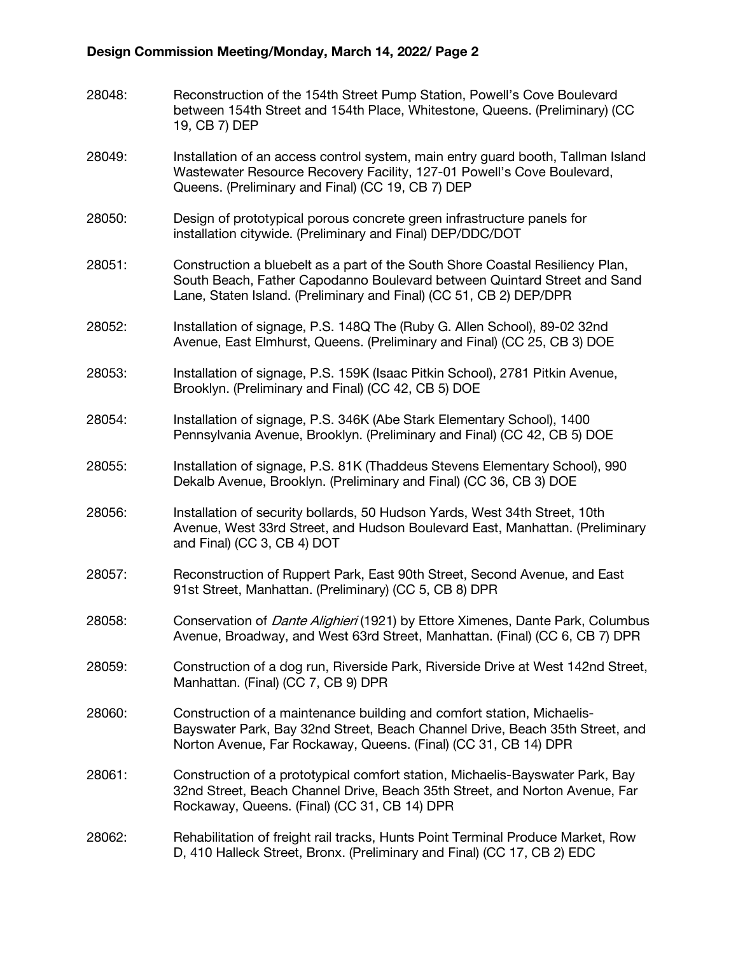## Design Commission Meeting/Monday, March 14, 2022/ Page 2

28048: Reconstruction of the 154th Street Pump Station, Powell's Cove Boulevard between 154th Street and 154th Place, Whitestone, Queens. (Preliminary) (CC 19, CB 7) DEP 28049: Installation of an access control system, main entry guard booth, Tallman Island Wastewater Resource Recovery Facility, 127-01 Powell's Cove Boulevard, Queens. (Preliminary and Final) (CC 19, CB 7) DEP 28050: Design of prototypical porous concrete green infrastructure panels for installation citywide. (Preliminary and Final) DEP/DDC/DOT 28051: Construction a bluebelt as a part of the South Shore Coastal Resiliency Plan, South Beach, Father Capodanno Boulevard between Quintard Street and Sand Lane, Staten Island. (Preliminary and Final) (CC 51, CB 2) DEP/DPR 28052: Installation of signage, P.S. 148Q The (Ruby G. Allen School), 89-02 32nd Avenue, East Elmhurst, Queens. (Preliminary and Final) (CC 25, CB 3) DOE 28053: Installation of signage, P.S. 159K (Isaac Pitkin School), 2781 Pitkin Avenue, Brooklyn. (Preliminary and Final) (CC 42, CB 5) DOE 28054: Installation of signage, P.S. 346K (Abe Stark Elementary School), 1400 Pennsylvania Avenue, Brooklyn. (Preliminary and Final) (CC 42, CB 5) DOE 28055: Installation of signage, P.S. 81K (Thaddeus Stevens Elementary School), 990 Dekalb Avenue, Brooklyn. (Preliminary and Final) (CC 36, CB 3) DOE 28056: Installation of security bollards, 50 Hudson Yards, West 34th Street, 10th Avenue, West 33rd Street, and Hudson Boulevard East, Manhattan. (Preliminary and Final) (CC 3, CB 4) DOT 28057: Reconstruction of Ruppert Park, East 90th Street, Second Avenue, and East 91st Street, Manhattan. (Preliminary) (CC 5, CB 8) DPR 28058: Conservation of *Dante Alighieri* (1921) by Ettore Ximenes, Dante Park, Columbus Avenue, Broadway, and West 63rd Street, Manhattan. (Final) (CC 6, CB 7) DPR 28059: Construction of a dog run, Riverside Park, Riverside Drive at West 142nd Street, Manhattan. (Final) (CC 7, CB 9) DPR 28060: Construction of a maintenance building and comfort station, Michaelis-Bayswater Park, Bay 32nd Street, Beach Channel Drive, Beach 35th Street, and Norton Avenue, Far Rockaway, Queens. (Final) (CC 31, CB 14) DPR 28061: Construction of a prototypical comfort station, Michaelis-Bayswater Park, Bay 32nd Street, Beach Channel Drive, Beach 35th Street, and Norton Avenue, Far Rockaway, Queens. (Final) (CC 31, CB 14) DPR 28062: Rehabilitation of freight rail tracks, Hunts Point Terminal Produce Market, Row D, 410 Halleck Street, Bronx. (Preliminary and Final) (CC 17, CB 2) EDC